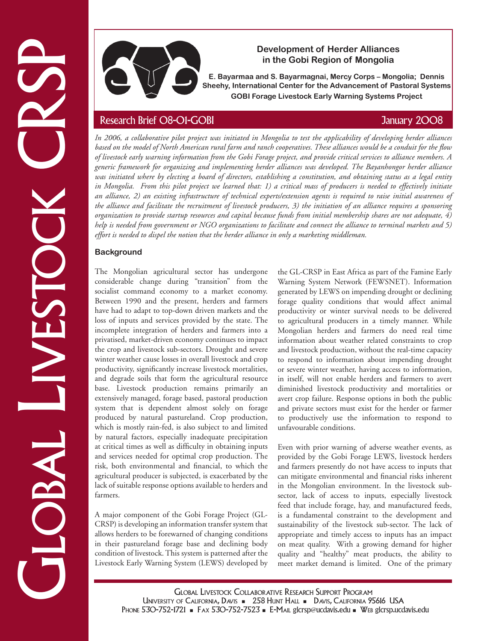

## **Development of Herder Alliances in the Gobi Region of Mongolia**

**E. Bayarmaa and S. Bayarmagnai, Mercy Corps – Mongolia; Dennis Sheehy, International Center for the Advancement of Pastoral Systems GOBI Forage Livestock Early Warning Systems Project**

Development of Herder Alliances<br>
E. Bayarma and S. Bayarma of Herder Alliances<br>
Sheelty, international center for the Advancement of Fasteral System Project<br>
2006 c rollstocking international center for the Advancement of *In 2006, a collaborative pilot project was initiated in Mongolia to test the applicability of developing herder alliances based on the model of North American rural farm and ranch cooperatives. These alliances would be a conduit for the flow of livestock early warning information from the Gobi Forage project, and provide critical services to alliance members. A generic framework for organizing and implementing herder alliances was developed. The Bayanhongor herder alliance was initiated where by electing a board of directors, establishing a constitution, and obtaining status as a legal entity in Mongolia. From this pilot project we learned that: 1) a critical mass of producers is needed to effectively initiate an alliance, 2) an existing infrastructure of technical experts/extension agents is required to raise initial awareness of the alliance and facilitate the recruitment of livestock producers, 3) the initiation of an alliance requires a sponsoring organization to provide startup resources and capital because funds from initial membership shares are not adequate, 4) help is needed from government or NGO organizations to facilitate and connect the alliance to terminal markets and 5) effort is needed to dispel the notion that the herder alliance in only a marketing middleman.*

# **Background**

The Mongolian agricultural sector has undergone considerable change during "transition" from the socialist command economy to a market economy. Between 1990 and the present, herders and farmers have had to adapt to top-down driven markets and the loss of inputs and services provided by the state. The incomplete integration of herders and farmers into a privatised, market-driven economy continues to impact the crop and livestock sub-sectors. Drought and severe winter weather cause losses in overall livestock and crop productivity, significantly increase livestock mortalities, and degrade soils that form the agricultural resource base. Livestock production remains primarily an extensively managed, forage based, pastoral production system that is dependent almost solely on forage produced by natural pastureland. Crop production, which is mostly rain-fed, is also subject to and limited by natural factors, especially inadequate precipitation at critical times as well as difficulty in obtaining inputs and services needed for optimal crop production. The risk, both environmental and financial, to which the agricultural producer is subjected, is exacerbated by the lack of suitable response options available to herders and farmers.

A major component of the Gobi Forage Project (GL-CRSP) is developing an information transfer system that allows herders to be forewarned of changing conditions in their pastureland forage base and declining body condition of livestock. This system is patterned after the Livestock Early Warning System (LEWS) developed by

the GL-CRSP in East Africa as part of the Famine Early Warning System Network (FEWSNET). Information generated by LEWS on impending drought or declining forage quality conditions that would affect animal productivity or winter survival needs to be delivered to agricultural producers in a timely manner. While Mongolian herders and farmers do need real time information about weather related constraints to crop and livestock production, without the real-time capacity to respond to information about impending drought or severe winter weather, having access to information, in itself, will not enable herders and farmers to avert diminished livestock productivity and mortalities or avert crop failure. Response options in both the public and private sectors must exist for the herder or farmer to productively use the information to respond to unfavourable conditions.

Even with prior warning of adverse weather events, as provided by the Gobi Forage LEWS, livestock herders and farmers presently do not have access to inputs that can mitigate environmental and financial risks inherent in the Mongolian environment. In the livestock subsector, lack of access to inputs, especially livestock feed that include forage, hay, and manufactured feeds, is a fundamental constraint to the development and sustainability of the livestock sub-sector. The lack of appropriate and timely access to inputs has an impact on meat quality. With a growing demand for higher quality and "healthy" meat products, the ability to meet market demand is limited. One of the primary

Global Livestock Collaborative Research Support Program UNIVERSITY OF CALIFORNIA, DAVIS - 258 HUNT HALL - DAVIS, CALIFORNIA 95616 USA PHONE 530-752-1721 - FAX 530-752-7523 - E-MAIL glcrsp@ucdavis.edu - WEB glcrsp.ucdavis.edu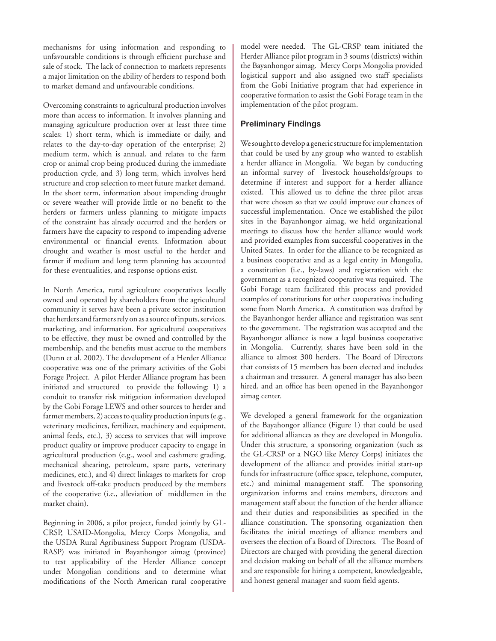mechanisms for using information and responding to unfavourable conditions is through efficient purchase and sale of stock. The lack of connection to markets represents a major limitation on the ability of herders to respond both to market demand and unfavourable conditions.

Overcoming constraints to agricultural production involves more than access to information. It involves planning and managing agriculture production over at least three time scales: 1) short term, which is immediate or daily, and relates to the day-to-day operation of the enterprise; 2) medium term, which is annual, and relates to the farm crop or animal crop being produced during the immediate production cycle, and 3) long term, which involves herd structure and crop selection to meet future market demand. In the short term, information about impending drought or severe weather will provide little or no benefit to the herders or farmers unless planning to mitigate impacts of the constraint has already occurred and the herders or farmers have the capacity to respond to impending adverse environmental or financial events. Information about drought and weather is most useful to the herder and farmer if medium and long term planning has accounted for these eventualities, and response options exist.

In North America, rural agriculture cooperatives locally owned and operated by shareholders from the agricultural community it serves have been a private sector institution that herders and farmers rely on as a source of inputs, services, marketing, and information. For agricultural cooperatives to be effective, they must be owned and controlled by the membership, and the benefits must accrue to the members (Dunn et al. 2002). The development of a Herder Alliance cooperative was one of the primary activities of the Gobi Forage Project. A pilot Herder Alliance program has been initiated and structured to provide the following: 1) a conduit to transfer risk mitigation information developed by the Gobi Forage LEWS and other sources to herder and farmer members, 2) access to quality production inputs (e.g., veterinary medicines, fertilizer, machinery and equipment, animal feeds, etc.), 3) access to services that will improve product quality or improve producer capacity to engage in agricultural production (e.g., wool and cashmere grading, mechanical shearing, petroleum, spare parts, veterinary medicines, etc.), and 4) direct linkages to markets for crop and livestock off-take products produced by the members of the cooperative (i.e., alleviation of middlemen in the market chain).

Beginning in 2006, a pilot project, funded jointly by GL-CRSP, USAID-Mongolia, Mercy Corps Mongolia, and the USDA Rural Agribusiness Support Program (USDA-RASP) was initiated in Bayanhongor aimag (province) to test applicability of the Herder Alliance concept under Mongolian conditions and to determine what modifications of the North American rural cooperative

model were needed. The GL-CRSP team initiated the Herder Alliance pilot program in 3 soums (districts) within the Bayanhongor aimag. Mercy Corps Mongolia provided logistical support and also assigned two staff specialists from the Gobi Initiative program that had experience in cooperative formation to assist the Gobi Forage team in the implementation of the pilot program.

### **Preliminary Findings**

We sought to develop a generic structure for implementation that could be used by any group who wanted to establish a herder alliance in Mongolia. We began by conducting an informal survey of livestock households/groups to determine if interest and support for a herder alliance existed. This allowed us to define the three pilot areas that were chosen so that we could improve our chances of successful implementation. Once we established the pilot sites in the Bayanhongor aimag, we held organizational meetings to discuss how the herder alliance would work and provided examples from successful cooperatives in the United States. In order for the alliance to be recognized as a business cooperative and as a legal entity in Mongolia, a constitution (i.e., by-laws) and registration with the government as a recognized cooperative was required. The Gobi Forage team facilitated this process and provided examples of constitutions for other cooperatives including some from North America. A constitution was drafted by the Bayanhongor herder alliance and registration was sent to the government. The registration was accepted and the Bayanhongor alliance is now a legal business cooperative in Mongolia. Currently, shares have been sold in the alliance to almost 300 herders. The Board of Directors that consists of 15 members has been elected and includes a chairman and treasurer. A general manager has also been hired, and an office has been opened in the Bayanhongor aimag center.

We developed a general framework for the organization of the Bayahongor alliance (Figure 1) that could be used for additional alliances as they are developed in Mongolia. Under this structure, a sponsoring organization (such as the GL-CRSP or a NGO like Mercy Corps) initiates the development of the alliance and provides initial start-up funds for infrastructure (office space, telephone, computer, etc.) and minimal management staff. The sponsoring organization informs and trains members, directors and management staff about the function of the herder alliance and their duties and responsibilities as specified in the alliance constitution. The sponsoring organization then facilitates the initial meetings of alliance members and oversees the election of a Board of Directors. The Board of Directors are charged with providing the general direction and decision making on behalf of all the alliance members and are responsible for hiring a competent, knowledgeable, and honest general manager and suom field agents.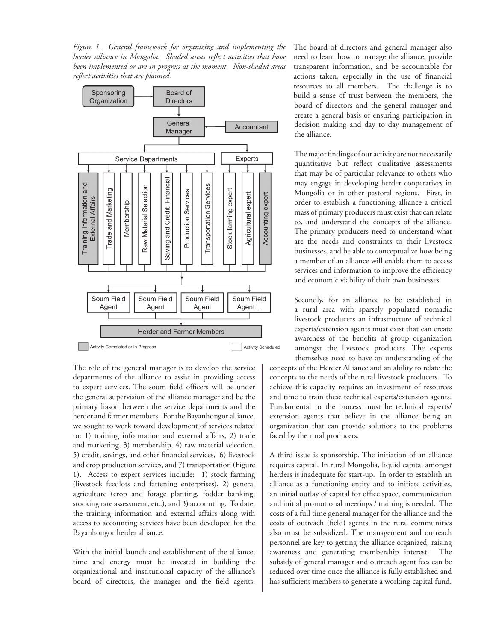*Figure 1. General framework for organizing and implementing the herder alliance in Mongolia. Shaded areas reflect activities that have been implemented or are in progress at the moment. Non-shaded areas reflect activities that are planned.*



The role of the general manager is to develop the service departments of the alliance to assist in providing access to expert services. The soum field officers will be under the general supervision of the alliance manager and be the primary liason between the service departments and the herder and farmer members. For the Bayanhongor alliance, we sought to work toward development of services related to: 1) training information and external affairs, 2) trade and marketing, 3) membership, 4) raw material selection, 5) credit, savings, and other financial services, 6) livestock and crop production services, and 7) transportation (Figure 1). Access to expert services include: 1) stock farming (livestock feedlots and fattening enterprises), 2) general agriculture (crop and forage planting, fodder banking, stocking rate assessment, etc.), and 3) accounting. To date, the training information and external affairs along with access to accounting services have been developed for the Bayanhongor herder alliance.

With the initial launch and establishment of the alliance, time and energy must be invested in building the organizational and institutional capacity of the alliance's board of directors, the manager and the field agents.

The board of directors and general manager also need to learn how to manage the alliance, provide transparent information, and be accountable for actions taken, especially in the use of financial resources to all members. The challenge is to build a sense of trust between the members, the board of directors and the general manager and create a general basis of ensuring participation in decision making and day to day management of the alliance.

The major findings of our activity are not necessarily quantitative but reflect qualitative assessments that may be of particular relevance to others who may engage in developing herder cooperatives in Mongolia or in other pastoral regions. First, in order to establish a functioning alliance a critical mass of primary producers must exist that can relate to, and understand the concepts of the alliance. The primary producers need to understand what are the needs and constraints to their livestock businesses, and be able to conceptualize how being a member of an alliance will enable them to access services and information to improve the efficiency and economic viability of their own businesses.

Secondly, for an alliance to be established in a rural area with sparsely populated nomadic livestock producers an infrastructure of technical experts/extension agents must exist that can create awareness of the benefits of group organization amongst the livestock producers. The experts themselves need to have an understanding of the concepts of the Herder Alliance and an ability to relate the concepts to the needs of the rural livestock producers. To achieve this capacity requires an investment of resources and time to train these technical experts/extension agents.

Fundamental to the process must be technical experts/ extension agents that believe in the alliance being an organization that can provide solutions to the problems faced by the rural producers.

A third issue is sponsorship. The initiation of an alliance requires capital. In rural Mongolia, liquid capital amongst herders is inadequate for start-up. In order to establish an alliance as a functioning entity and to initiate activities, an initial outlay of capital for office space, communication and initial promotional meetings / training is needed. The costs of a full time general manager for the alliance and the costs of outreach (field) agents in the rural communities also must be subsidized. The management and outreach personnel are key to getting the alliance organized, raising awareness and generating membership interest. The subsidy of general manager and outreach agent fees can be reduced over time once the alliance is fully established and has sufficient members to generate a working capital fund.